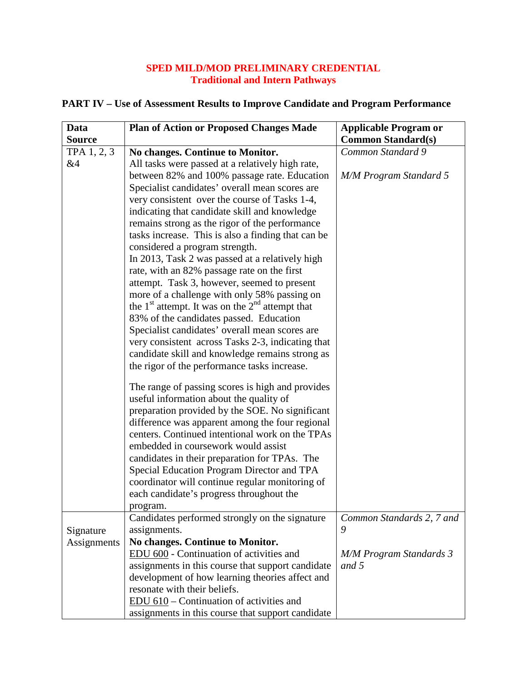## **SPED MILD/MOD PRELIMINARY CREDENTIAL Traditional and Intern Pathways**

| Data          | <b>Plan of Action or Proposed Changes Made</b>      | <b>Applicable Program or</b>   |
|---------------|-----------------------------------------------------|--------------------------------|
| <b>Source</b> |                                                     | <b>Common Standard(s)</b>      |
| TPA 1, 2, 3   | No changes. Continue to Monitor.                    | Common Standard 9              |
| &4            | All tasks were passed at a relatively high rate,    |                                |
|               | between 82% and 100% passage rate. Education        | <b>M/M Program Standard 5</b>  |
|               | Specialist candidates' overall mean scores are      |                                |
|               | very consistent over the course of Tasks 1-4,       |                                |
|               | indicating that candidate skill and knowledge       |                                |
|               | remains strong as the rigor of the performance      |                                |
|               | tasks increase. This is also a finding that can be  |                                |
|               | considered a program strength.                      |                                |
|               | In 2013, Task 2 was passed at a relatively high     |                                |
|               | rate, with an 82% passage rate on the first         |                                |
|               | attempt. Task 3, however, seemed to present         |                                |
|               | more of a challenge with only 58% passing on        |                                |
|               | the $1st$ attempt. It was on the $2nd$ attempt that |                                |
|               | 83% of the candidates passed. Education             |                                |
|               | Specialist candidates' overall mean scores are      |                                |
|               | very consistent across Tasks 2-3, indicating that   |                                |
|               | candidate skill and knowledge remains strong as     |                                |
|               | the rigor of the performance tasks increase.        |                                |
|               | The range of passing scores is high and provides    |                                |
|               | useful information about the quality of             |                                |
|               | preparation provided by the SOE. No significant     |                                |
|               | difference was apparent among the four regional     |                                |
|               | centers. Continued intentional work on the TPAs     |                                |
|               | embedded in coursework would assist                 |                                |
|               | candidates in their preparation for TPAs. The       |                                |
|               | Special Education Program Director and TPA          |                                |
|               | coordinator will continue regular monitoring of     |                                |
|               | each candidate's progress throughout the            |                                |
|               | program.                                            |                                |
|               | Candidates performed strongly on the signature      | Common Standards 2, 7 and      |
| Signature     | assignments.                                        | 9                              |
| Assignments   | No changes. Continue to Monitor.                    |                                |
|               | EDU 600 - Continuation of activities and            | <b>M/M Program Standards 3</b> |
|               | assignments in this course that support candidate   | and 5                          |
|               | development of how learning theories affect and     |                                |
|               | resonate with their beliefs.                        |                                |
|               | $EDU$ 610 – Continuation of activities and          |                                |
|               | assignments in this course that support candidate   |                                |

## **PART IV – Use of Assessment Results to Improve Candidate and Program Performance**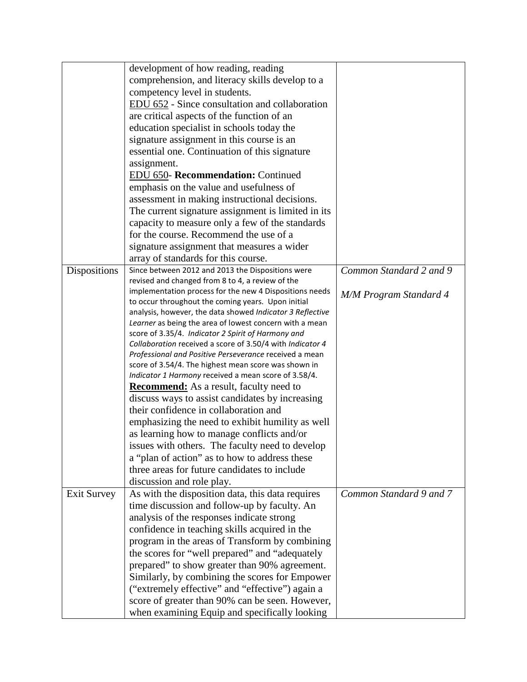|                    | development of how reading, reading                                                                                 |                               |
|--------------------|---------------------------------------------------------------------------------------------------------------------|-------------------------------|
|                    | comprehension, and literacy skills develop to a                                                                     |                               |
|                    | competency level in students.                                                                                       |                               |
|                    | EDU 652 - Since consultation and collaboration                                                                      |                               |
|                    | are critical aspects of the function of an                                                                          |                               |
|                    | education specialist in schools today the                                                                           |                               |
|                    | signature assignment in this course is an                                                                           |                               |
|                    | essential one. Continuation of this signature                                                                       |                               |
|                    | assignment.                                                                                                         |                               |
|                    | EDU 650- Recommendation: Continued                                                                                  |                               |
|                    | emphasis on the value and usefulness of                                                                             |                               |
|                    | assessment in making instructional decisions.                                                                       |                               |
|                    | The current signature assignment is limited in its                                                                  |                               |
|                    | capacity to measure only a few of the standards                                                                     |                               |
|                    | for the course. Recommend the use of a                                                                              |                               |
|                    | signature assignment that measures a wider                                                                          |                               |
|                    | array of standards for this course.                                                                                 |                               |
| Dispositions       | Since between 2012 and 2013 the Dispositions were                                                                   | Common Standard 2 and 9       |
|                    | revised and changed from 8 to 4, a review of the                                                                    |                               |
|                    | implementation process for the new 4 Dispositions needs                                                             | <b>M/M Program Standard 4</b> |
|                    | to occur throughout the coming years. Upon initial                                                                  |                               |
|                    | analysis, however, the data showed Indicator 3 Reflective                                                           |                               |
|                    | Learner as being the area of lowest concern with a mean                                                             |                               |
|                    | score of 3.35/4. Indicator 2 Spirit of Harmony and                                                                  |                               |
|                    | Collaboration received a score of 3.50/4 with Indicator 4<br>Professional and Positive Perseverance received a mean |                               |
|                    | score of 3.54/4. The highest mean score was shown in                                                                |                               |
|                    | Indicator 1 Harmony received a mean score of 3.58/4.                                                                |                               |
|                    | <b>Recommend:</b> As a result, faculty need to                                                                      |                               |
|                    | discuss ways to assist candidates by increasing                                                                     |                               |
|                    | their confidence in collaboration and                                                                               |                               |
|                    | emphasizing the need to exhibit humility as well                                                                    |                               |
|                    | as learning how to manage conflicts and/or                                                                          |                               |
|                    | issues with others. The faculty need to develop                                                                     |                               |
|                    | a "plan of action" as to how to address these                                                                       |                               |
|                    | three areas for future candidates to include                                                                        |                               |
|                    | discussion and role play.                                                                                           |                               |
|                    |                                                                                                                     | Common Standard 9 and 7       |
| <b>Exit Survey</b> | As with the disposition data, this data requires                                                                    |                               |
|                    | time discussion and follow-up by faculty. An                                                                        |                               |
|                    | analysis of the responses indicate strong                                                                           |                               |
|                    | confidence in teaching skills acquired in the                                                                       |                               |
|                    | program in the areas of Transform by combining                                                                      |                               |
|                    | the scores for "well prepared" and "adequately                                                                      |                               |
|                    | prepared" to show greater than 90% agreement.                                                                       |                               |
|                    | Similarly, by combining the scores for Empower                                                                      |                               |
|                    | ("extremely effective" and "effective") again a                                                                     |                               |
|                    | score of greater than 90% can be seen. However,                                                                     |                               |
|                    | when examining Equip and specifically looking                                                                       |                               |